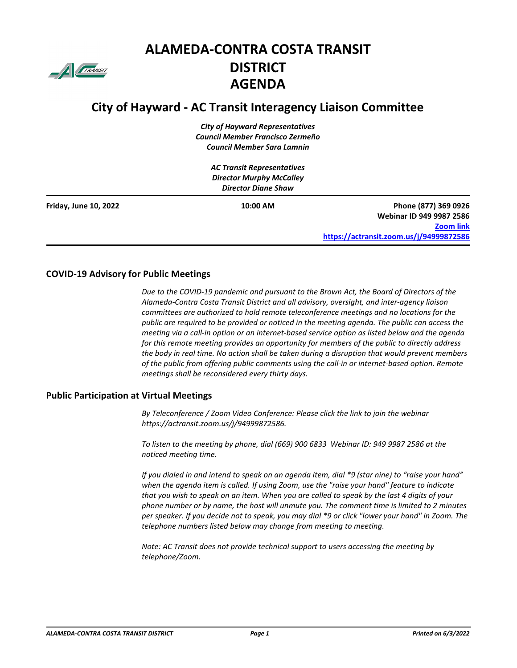

# **ALAMEDA-CONTRA COSTA TRANSIT DISTRICT AGENDA**

# **City of Hayward - AC Transit Interagency Liaison Committee**

*City of Hayward Representatives Council Member Francisco Zermeño Council Member Sara Lamnin*

|                       | <b>AC Transit Representatives</b> |                                         |
|-----------------------|-----------------------------------|-----------------------------------------|
|                       | <b>Director Murphy McCalley</b>   |                                         |
|                       | <b>Director Diane Shaw</b>        |                                         |
| Friday, June 10, 2022 | 10:00 AM                          | Phone (877) 369 0926                    |
|                       |                                   | Webinar ID 949 9987 2586                |
|                       |                                   | <b>Zoom link</b>                        |
|                       |                                   | https://actransit.zoom.us/j/94999872586 |

#### **COVID-19 Advisory for Public Meetings**

*Due to the COVID-19 pandemic and pursuant to the Brown Act, the Board of Directors of the Alameda-Contra Costa Transit District and all advisory, oversight, and inter-agency liaison committees are authorized to hold remote teleconference meetings and no locations for the public are required to be provided or noticed in the meeting agenda. The public can access the meeting via a call-in option or an internet-based service option as listed below and the agenda for this remote meeting provides an opportunity for members of the public to directly address the body in real time. No action shall be taken during a disruption that would prevent members of the public from offering public comments using the call-in or internet-based option. Remote meetings shall be reconsidered every thirty days.*

#### **Public Participation at Virtual Meetings**

*By Teleconference / Zoom Video Conference: Please click the link to join the webinar https://actransit.zoom.us/j/94999872586.*

*To listen to the meeting by phone, dial (669) 900 6833 Webinar ID: 949 9987 2586 at the noticed meeting time.* 

*If you dialed in and intend to speak on an agenda item, dial \*9 (star nine) to "raise your hand" when the agenda item is called. If using Zoom, use the "raise your hand" feature to indicate that you wish to speak on an item. When you are called to speak by the last 4 digits of your phone number or by name, the host will unmute you. The comment time is limited to 2 minutes per speaker. If you decide not to speak, you may dial \*9 or click "lower your hand" in Zoom. The telephone numbers listed below may change from meeting to meeting.*

*Note: AC Transit does not provide technical support to users accessing the meeting by telephone/Zoom.*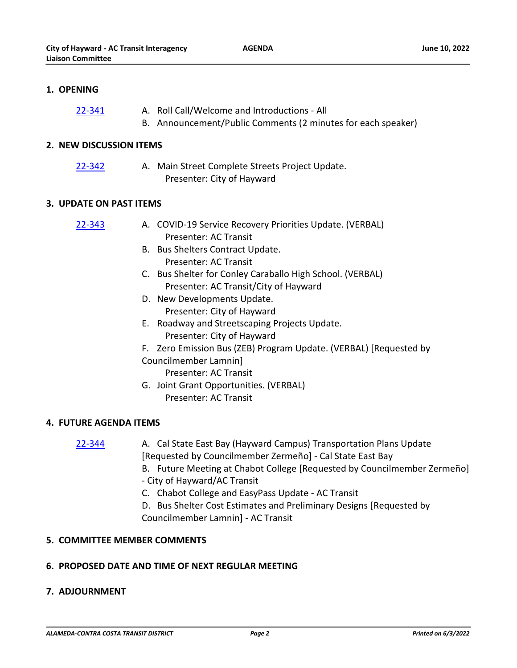**AGENDA**

# **1. OPENING**

- A. Roll Call/Welcome and Introductions All [22-341](http://actransit.legistar.com/gateway.aspx?m=l&id=/matter.aspx?key=5121)
	- B. Announcement/Public Comments (2 minutes for each speaker)

#### **2. NEW DISCUSSION ITEMS**

- [22-342](http://actransit.legistar.com/gateway.aspx?m=l&id=/matter.aspx?key=5122)
- A. Main Street Complete Streets Project Update. Presenter: City of Hayward

#### **3. UPDATE ON PAST ITEMS**

| 22-343 | A. COVID-19 Service Recovery Priorities Update. (VERBAL) |
|--------|----------------------------------------------------------|
|        | Presenter: AC Transit                                    |

- B. Bus Shelters Contract Update. Presenter: AC Transit
- C. Bus Shelter for Conley Caraballo High School. (VERBAL) Presenter: AC Transit/City of Hayward
- D. New Developments Update. Presenter: City of Hayward
- E. Roadway and Streetscaping Projects Update. Presenter: City of Hayward
- F. Zero Emission Bus (ZEB) Program Update. (VERBAL) [Requested by
- Councilmember Lamnin]
	- Presenter: AC Transit
- G. Joint Grant Opportunities. (VERBAL)
	- Presenter: AC Transit

# **4. FUTURE AGENDA ITEMS**

# [22-344](http://actransit.legistar.com/gateway.aspx?m=l&id=/matter.aspx?key=5124)

- A. Cal State East Bay (Hayward Campus) Transportation Plans Update [Requested by Councilmember Zermeño] - Cal State East Bay
- B. Future Meeting at Chabot College [Requested by Councilmember Zermeño] - City of Hayward/AC Transit
- C. Chabot College and EasyPass Update AC Transit
- D. Bus Shelter Cost Estimates and Preliminary Designs [Requested by Councilmember Lamnin] - AC Transit

# **5. COMMITTEE MEMBER COMMENTS**

# **6. PROPOSED DATE AND TIME OF NEXT REGULAR MEETING**

# **7. ADJOURNMENT**